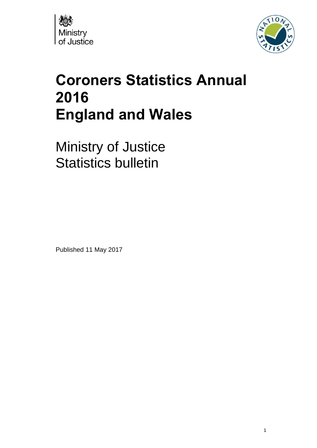



# **Coroners Statistics Annual 2016 England and Wales**

Ministry of Justice Statistics bulletin

Published 11 May 2017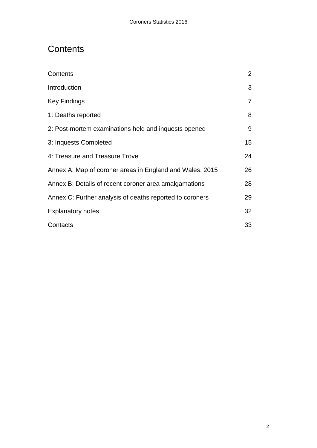# <span id="page-1-0"></span>**Contents**

<span id="page-1-1"></span>

| Contents                                                 | $\overline{2}$  |
|----------------------------------------------------------|-----------------|
| Introduction                                             | 3               |
| Key Findings                                             | $\overline{7}$  |
| 1: Deaths reported                                       | 8               |
| 2: Post-mortem examinations held and inquests opened     | 9               |
| 3: Inquests Completed                                    | 15 <sub>1</sub> |
| 4: Treasure and Treasure Trove                           | 24              |
| Annex A: Map of coroner areas in England and Wales, 2015 |                 |
| Annex B: Details of recent coroner area amalgamations    |                 |
| Annex C: Further analysis of deaths reported to coroners | 29              |
| <b>Explanatory notes</b>                                 | 32              |
| Contacts                                                 | 33              |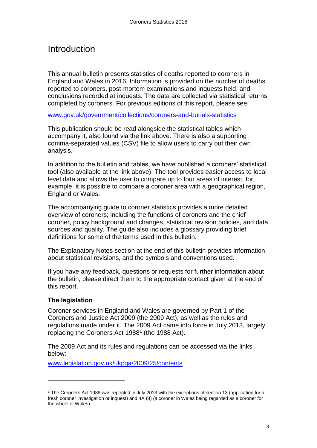# Introduction

This annual bulletin presents statistics of deaths reported to coroners in England and Wales in 2016. Information is provided on the number of deaths reported to coroners, post-mortem examinations and inquests held, and conclusions recorded at inquests. The data are collected via statistical returns completed by coroners. For previous editions of this report, please see:

[www.gov.uk/government/collections/coroners-and-burials-statistics](http://www.gov.uk/government/collections/coroners-and-burials-statistics)

This publication should be read alongside the statistical tables which accompany it, also found via the link above. There is also a supporting comma-separated values (CSV) file to allow users to carry out their own analysis.

In addition to the bulletin and tables, we have published a coroners' statistical tool (also available at the link above). The tool provides easier access to local level data and allows the user to compare up to four areas of interest, for example, it is possible to compare a coroner area with a geographical region, England or Wales.

The accompanying guide to coroner statistics provides a more detailed overview of coroners; including the functions of coroners and the chief coroner, policy background and changes, statistical revision policies, and data sources and quality. The guide also includes a glossary providing brief definitions for some of the terms used in this bulletin.

The Explanatory Notes section at the end of this bulletin provides information about statistical revisions, and the symbols and conventions used.

If you have any feedback, questions or requests for further information about the bulletin, please direct them to the appropriate contact given at the end of this report.

### **The legislation**

l

Coroner services in England and Wales are governed by Part 1 of the Coroners and Justice Act 2009 (the 2009 Act), as well as the rules and regulations made under it. The 2009 Act came into force in July 2013, largely replacing the Coroners Act 1988<sup>1</sup> (the 1988 Act).

The 2009 Act and its rules and regulations can be accessed via the links below:

[www.legislation.gov.uk/ukpga/2009/25/contents](http://www.legislation.gov.uk/ukpga/2009/25/contents)

<sup>1</sup> The Coroners Act 1988 was repealed in July 2013 with the exceptions of section 13 (application for a fresh coroner investigation or inquest) and 4A (8) (a coroner in Wales being regarded as a coroner for the whole of Wales).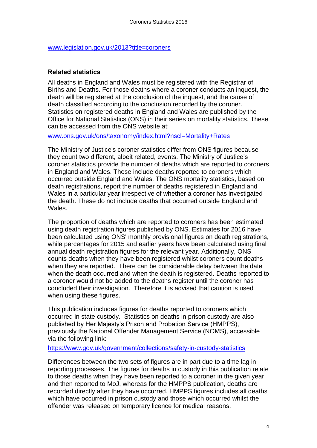#### [www.legislation.gov.uk/2013?title=coroners](http://www.legislation.gov.uk/2013?title=coroners)

#### **Related statistics**

All deaths in England and Wales must be registered with the Registrar of Births and Deaths. For those deaths where a coroner conducts an inquest, the death will be registered at the conclusion of the inquest, and the cause of death classified according to the conclusion recorded by the coroner. Statistics on registered deaths in England and Wales are published by the Office for National Statistics (ONS) in their series on mortality statistics. These can be accessed from the ONS website at:

[www.ons.gov.uk/ons/taxonomy/index.html?nscl=Mortality+Rates](http://www.ons.gov.uk/ons/taxonomy/index.html?nscl=Mortality+Rates)

The Ministry of Justice's coroner statistics differ from ONS figures because they count two different, albeit related, events. The Ministry of Justice's coroner statistics provide the number of deaths which are reported to coroners in England and Wales. These include deaths reported to coroners which occurred outside England and Wales. The ONS mortality statistics, based on death registrations, report the number of deaths registered in England and Wales in a particular year irrespective of whether a coroner has investigated the death. These do not include deaths that occurred outside England and Wales.

The proportion of deaths which are reported to coroners has been estimated using death registration figures published by ONS. Estimates for 2016 have been calculated using ONS' monthly provisional figures on death registrations, while percentages for 2015 and earlier years have been calculated using final annual death registration figures for the relevant year. Additionally, ONS counts deaths when they have been registered whilst coroners count deaths when they are reported. There can be considerable delay between the date when the death occurred and when the death is registered. Deaths reported to a coroner would not be added to the deaths register until the coroner has concluded their investigation. Therefore it is advised that caution is used when using these figures.

This publication includes figures for deaths reported to coroners which occurred in state custody. Statistics on deaths in prison custody are also published by Her Majesty's Prison and Probation Service (HMPPS), previously the National Offender Management Service (NOMS), accessible via the following link:

#### <https://www.gov.uk/government/collections/safety-in-custody-statistics>

Differences between the two sets of figures are in part due to a time lag in reporting processes. The figures for deaths in custody in this publication relate to those deaths when they have been reported to a coroner in the given year and then reported to MoJ, whereas for the HMPPS publication, deaths are recorded directly after they have occurred. HMPPS figures includes all deaths which have occurred in prison custody and those which occurred whilst the offender was released on temporary licence for medical reasons.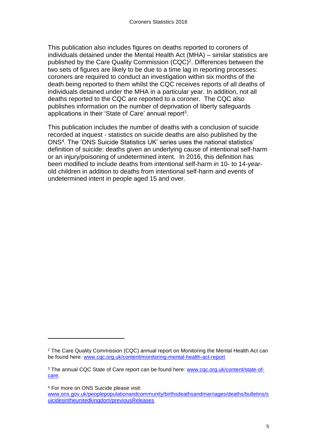This publication also includes figures on deaths reported to coroners of individuals detained under the Mental Health Act (MHA) – similar statistics are published by the Care Quality Commission (CQC)<sup>2</sup>. Differences between the two sets of figures are likely to be due to a time lag in reporting processes: coroners are required to conduct an investigation within six months of the death being reported to them whilst the CQC receives reports of all deaths of individuals detained under the MHA in a particular year. In addition, not all deaths reported to the CQC are reported to a coroner. The CQC also publishes information on the number of deprivation of liberty safeguards applications in their 'State of Care' annual report<sup>3</sup>.

This publication includes the number of deaths with a conclusion of suicide recorded at inquest - statistics on suicide deaths are also published by the ONS<sup>4</sup> . The 'ONS Suicide Statistics UK' series uses the national statistics' definition of suicide: deaths given an underlying cause of intentional self-harm or an injury/poisoning of undetermined intent. In 2016, this definition has been modified to include deaths from intentional self-harm in 10- to 14-yearold children in addition to deaths from intentional self-harm and events of undetermined intent in people aged 15 and over.

<sup>4</sup> For more on ONS Suicide please visit:

 $\overline{a}$ 

<sup>2</sup> The Care Quality Commission (CQC) annual report on Monitoring the Mental Health Act can be found here: [www.cqc.org.uk/content/monitoring-mental-health-act-report](http://www.cqc.org.uk/content/monitoring-mental-health-act-report)

<sup>&</sup>lt;sup>3</sup> The annual CQC State of Care report can be found here: [www.cqc.org.uk/content/state-of](http://www.cqc.org.uk/content/state-of-care)[care.](http://www.cqc.org.uk/content/state-of-care)

[www.ons.gov.uk/peoplepopulationandcommunity/birthsdeathsandmarriages/deaths/bulletins/s](https://www.ons.gov.uk/peoplepopulationandcommunity/birthsdeathsandmarriages/deaths/bulletins/suicidesintheunitedkingdom/previousReleases) [uicidesintheunitedkingdom/previousReleases](https://www.ons.gov.uk/peoplepopulationandcommunity/birthsdeathsandmarriages/deaths/bulletins/suicidesintheunitedkingdom/previousReleases)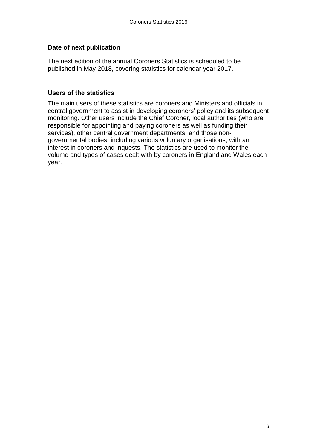### **Date of next publication**

The next edition of the annual Coroners Statistics is scheduled to be published in May 2018, covering statistics for calendar year 2017.

#### **Users of the statistics**

<span id="page-5-0"></span>The main users of these statistics are coroners and Ministers and officials in central government to assist in developing coroners' policy and its subsequent monitoring. Other users include the Chief Coroner, local authorities (who are responsible for appointing and paying coroners as well as funding their services), other central government departments, and those nongovernmental bodies, including various voluntary organisations, with an interest in coroners and inquests. The statistics are used to monitor the volume and types of cases dealt with by coroners in England and Wales each year.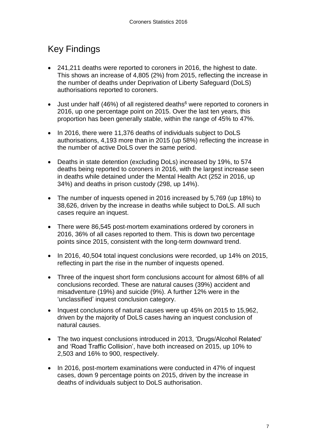# Key Findings

- 241,211 deaths were reported to coroners in 2016, the highest to date. This shows an increase of 4,805 (2%) from 2015, reflecting the increase in the number of deaths under Deprivation of Liberty Safeguard (DoLS) authorisations reported to coroners.
- $\bullet$  Just under half (46%) of all registered deaths<sup>6</sup> were reported to coroners in 2016, up one percentage point on 2015. Over the last ten years, this proportion has been generally stable, within the range of 45% to 47%.
- In 2016, there were 11,376 deaths of individuals subject to DoLS authorisations, 4,193 more than in 2015 (up 58%) reflecting the increase in the number of active DoLS over the same period.
- Deaths in state detention (excluding DoLs) increased by 19%, to 574 deaths being reported to coroners in 2016, with the largest increase seen in deaths while detained under the Mental Health Act (252 in 2016, up 34%) and deaths in prison custody (298, up 14%).
- The number of inquests opened in 2016 increased by 5,769 (up 18%) to 38,626, driven by the increase in deaths while subject to DoLS. All such cases require an inquest.
- There were 86,545 post-mortem examinations ordered by coroners in 2016, 36% of all cases reported to them. This is down two percentage points since 2015, consistent with the long-term downward trend.
- In 2016, 40,504 total inquest conclusions were recorded, up 14% on 2015, reflecting in part the rise in the number of inquests opened.
- Three of the inquest short form conclusions account for almost 68% of all conclusions recorded. These are natural causes (39%) accident and misadventure (19%) and suicide (9%). A further 12% were in the 'unclassified' inquest conclusion category.
- Inquest conclusions of natural causes were up 45% on 2015 to 15,962, driven by the majority of DoLS cases having an inquest conclusion of natural causes.
- The two inquest conclusions introduced in 2013, 'Drugs/Alcohol Related' and 'Road Traffic Collision', have both increased on 2015, up 10% to 2,503 and 16% to 900, respectively.
- <span id="page-6-0"></span>• In 2016, post-mortem examinations were conducted in 47% of inquest cases, down 9 percentage points on 2015, driven by the increase in deaths of individuals subject to DoLS authorisation.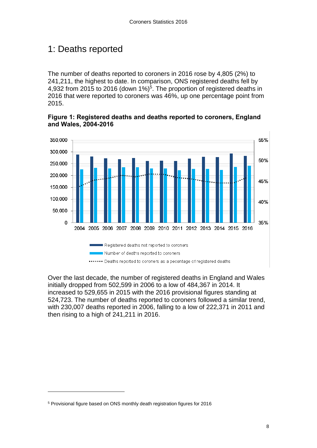# 1: Deaths reported

The number of deaths reported to coroners in 2016 rose by 4,805 (2%) to 241,211, the highest to date. In comparison, ONS registered deaths fell by 4,932 from 2015 to 2016 (down 1%)<sup>5</sup>. The proportion of registered deaths in 2016 that were reported to coroners was 46%, up one percentage point from 2015.

**Figure 1: Registered deaths and deaths reported to coroners, England and Wales, 2004-2016**



<span id="page-7-0"></span>Over the last decade, the number of registered deaths in England and Wales initially dropped from 502,599 in 2006 to a low of 484,367 in 2014. It increased to 529,655 in 2015 with the 2016 provisional figures standing at 524,723. The number of deaths reported to coroners followed a similar trend, with 230,007 deaths reported in 2006, falling to a low of 222,371 in 2011 and then rising to a high of 241,211 in 2016.

l

<sup>5</sup> Provisional figure based on ONS monthly death registration figures for 2016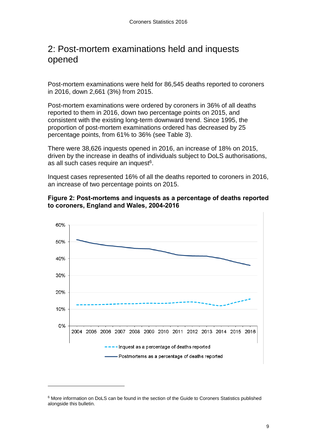# 2: Post-mortem examinations held and inquests opened

Post-mortem examinations were held for 86,545 deaths reported to coroners in 2016, down 2,661 (3%) from 2015.

Post-mortem examinations were ordered by coroners in 36% of all deaths reported to them in 2016, down two percentage points on 2015, and consistent with the existing long-term downward trend. Since 1995, the proportion of post-mortem examinations ordered has decreased by 25 percentage points, from 61% to 36% (see Table 3).

There were 38,626 inquests opened in 2016, an increase of 18% on 2015, driven by the increase in deaths of individuals subject to DoLS authorisations, as all such cases require an inquest<sup>6</sup>.

Inquest cases represented 16% of all the deaths reported to coroners in 2016, an increase of two percentage points on 2015.





l

<sup>&</sup>lt;sup>6</sup> More information on DoLS can be found in the section of the Guide to Coroners Statistics published alongside this bulletin.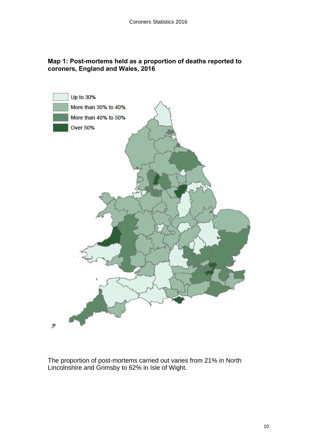### **Map 1: Post-mortems held as a proportion of deaths reported to coroners, England and Wales, 2016**



The proportion of post-mortems carried out varies from 21% in North Lincolnshire and Grimsby to 62% in Isle of Wight.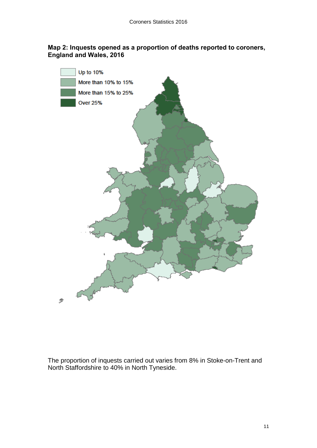#### **Map 2: Inquests opened as a proportion of deaths reported to coroners, England and Wales, 2016**



The proportion of inquests carried out varies from 8% in Stoke-on-Trent and North Staffordshire to 40% in North Tyneside.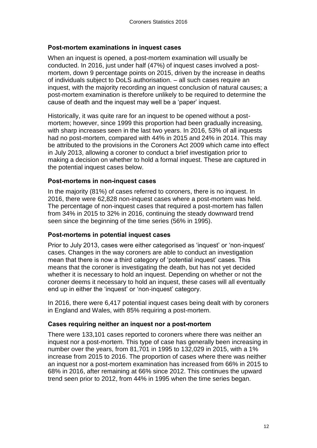#### **Post-mortem examinations in inquest cases**

When an inquest is opened, a post-mortem examination will usually be conducted. In 2016, just under half (47%) of inquest cases involved a postmortem, down 9 percentage points on 2015, driven by the increase in deaths of individuals subject to DoLS authorisation. – all such cases require an inquest, with the majority recording an inquest conclusion of natural causes; a post-mortem examination is therefore unlikely to be required to determine the cause of death and the inquest may well be a 'paper' inquest.

Historically, it was quite rare for an inquest to be opened without a postmortem; however, since 1999 this proportion had been gradually increasing, with sharp increases seen in the last two years. In 2016, 53% of all inquests had no post-mortem, compared with 44% in 2015 and 24% in 2014. This may be attributed to the provisions in the Coroners Act 2009 which came into effect in July 2013, allowing a coroner to conduct a brief investigation prior to making a decision on whether to hold a formal inquest. These are captured in the potential inquest cases below.

#### **Post-mortems in non-inquest cases**

In the majority (81%) of cases referred to coroners, there is no inquest. In 2016, there were 62,828 non-inquest cases where a post-mortem was held. The percentage of non-inquest cases that required a post-mortem has fallen from 34% in 2015 to 32% in 2016, continuing the steady downward trend seen since the beginning of the time series (56% in 1995).

#### **Post-mortems in potential inquest cases**

Prior to July 2013, cases were either categorised as 'inquest' or 'non-inquest' cases. Changes in the way coroners are able to conduct an investigation mean that there is now a third category of 'potential inquest' cases. This means that the coroner is investigating the death, but has not yet decided whether it is necessary to hold an inquest. Depending on whether or not the coroner deems it necessary to hold an inquest, these cases will all eventually end up in either the 'inquest' or 'non-inquest' category.

In 2016, there were 6,417 potential inquest cases being dealt with by coroners in England and Wales, with 85% requiring a post-mortem.

#### **Cases requiring neither an inquest nor a post-mortem**

There were 133,101 cases reported to coroners where there was neither an inquest nor a post-mortem. This type of case has generally been increasing in number over the years, from 81,701 in 1995 to 132,029 in 2015, with a 1% increase from 2015 to 2016. The proportion of cases where there was neither an inquest nor a post-mortem examination has increased from 66% in 2015 to 68% in 2016, after remaining at 66% since 2012. This continues the upward trend seen prior to 2012, from 44% in 1995 when the time series began.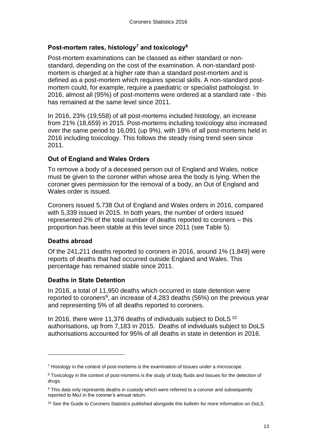#### **Post-mortem rates, histology<sup>7</sup> and toxicology<sup>8</sup>**

Post-mortem examinations can be classed as either standard or nonstandard, depending on the cost of the examination. A non-standard postmortem is charged at a higher rate than a standard post-mortem and is defined as a post-mortem which requires special skills. A non-standard postmortem could, for example, require a paediatric or specialist pathologist. In 2016, almost all (95%) of post-mortems were ordered at a standard rate - this has remained at the same level since 2011.

In 2016, 23% (19,558) of all post-mortems included histology, an increase from 21% (18,659) in 2015. Post-mortems including toxicology also increased over the same period to 16,091 (up 9%), with 19% of all post-mortems held in 2016 including toxicology. This follows the steady rising trend seen since 2011.

### **Out of England and Wales Orders**

To remove a body of a deceased person out of England and Wales, notice must be given to the coroner within whose area the body is lying. When the coroner gives permission for the removal of a body, an Out of England and Wales order is issued.

Coroners issued 5,738 Out of England and Wales orders in 2016, compared with 5,339 issued in 2015. In both years, the number of orders issued represented 2% of the total number of deaths reported to coroners – this proportion has been stable at this level since 2011 (see Table 5).

#### **Deaths abroad**

 $\overline{a}$ 

Of the 241,211 deaths reported to coroners in 2016, around 1% (1,849) were reports of deaths that had occurred outside England and Wales. This percentage has remained stable since 2011.

#### **Deaths in State Detention**

In 2016, a total of 11,950 deaths which occurred in state detention were reported to coroners<sup>9</sup>, an increase of 4,283 deaths (56%) on the previous year and representing 5% of all deaths reported to coroners.

In 2016, there were 11,376 deaths of individuals subject to DoLS<sup>10</sup> authorisations, up from 7,183 in 2015. Deaths of individuals subject to DoLS authorisations accounted for 95% of all deaths in state in detention in 2016.

<sup>&</sup>lt;sup>7</sup> Histology in the context of post-mortems is the examination of tissues under a microscope.

<sup>8</sup> Toxicology in the context of post-mortems is the study of body fluids and tissues for the detection of drugs.

<sup>&</sup>lt;sup>9</sup> This data only represents deaths in custody which were referred to a coroner and subsequently reported to MoJ in the coroner's annual return.

<sup>&</sup>lt;sup>10</sup> See the Guide to Coroners Statistics published alongside this bulletin for more information on DoLS.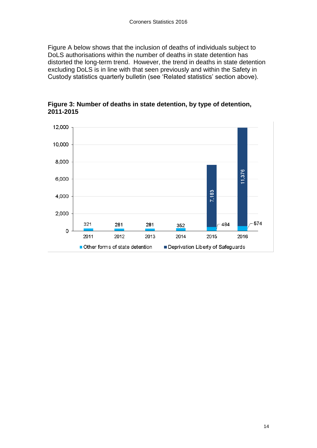Figure A below shows that the inclusion of deaths of individuals subject to DoLS authorisations within the number of deaths in state detention has distorted the long-term trend. However, the trend in deaths in state detention excluding DoLS is in line with that seen previously and within the Safety in Custody statistics quarterly bulletin (see 'Related statistics' section above).

<span id="page-13-0"></span>

**Figure 3: Number of deaths in state detention, by type of detention, 2011-2015**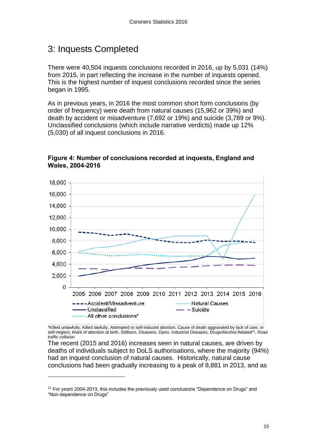# 3: Inquests Completed

There were 40,504 inquests conclusions recorded in 2016, up by 5,031 (14%) from 2015, in part reflecting the increase in the number of inquests opened. This is the highest number of inquest conclusions recorded since the series began in 1995.

As in previous years, in 2016 the most common short form conclusions (by order of frequency) were death from natural causes (15,962 or 39%) and death by accident or misadventure (7,692 or 19%) and suicide (3,789 or 9%). Unclassified conclusions (which include narrative verdicts) made up 12% (5,030) of all inquest conclusions in 2016.



### **Figure 4: Number of conclusions recorded at inquests, England and Wales, 2004-2016**

\*Killed unlawfully, Killed lawfully, Attempted or self-induced abortion, Cause of death aggravated by lack of care, or self-neglect, Want of attention at birth, Stillborn, Disasters, Open, Industrial Diseases, Drugs/Alcohol Related<sup>11</sup>, Road traffic collision

The recent (2015 and 2016) increases seen in natural causes, are driven by deaths of individuals subject to DoLS authorisations, where the majority (94%) had an inquest conclusion of natural causes. Historically, natural cause conclusions had been gradually increasing to a peak of 8,881 in 2013, and as

 $\overline{a}$ 

<sup>11</sup> For years 2004-2013, this includes the previously used conclusions "Dependence on Drugs" and "Non-dependence on Drugs"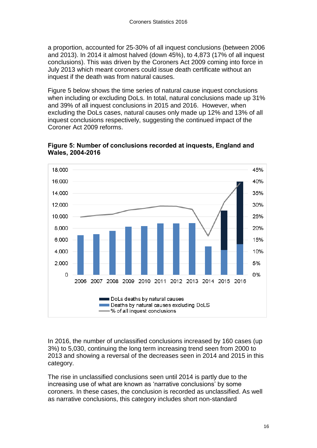a proportion, accounted for 25-30% of all inquest conclusions (between 2006 and 2013). In 2014 it almost halved (down 45%), to 4,873 (17% of all inquest conclusions). This was driven by the Coroners Act 2009 coming into force in July 2013 which meant coroners could issue death certificate without an inquest if the death was from natural causes.

Figure 5 below shows the time series of natural cause inquest conclusions when including or excluding DoLs. In total, natural conclusions made up 31% and 39% of all inquest conclusions in 2015 and 2016. However, when excluding the DoLs cases, natural causes only made up 12% and 13% of all inquest conclusions respectively, suggesting the continued impact of the Coroner Act 2009 reforms.





In 2016, the number of unclassified conclusions increased by 160 cases (up 3%) to 5,030, continuing the long term increasing trend seen from 2000 to 2013 and showing a reversal of the decreases seen in 2014 and 2015 in this category.

The rise in unclassified conclusions seen until 2014 is partly due to the increasing use of what are known as 'narrative conclusions' by some coroners. In these cases, the conclusion is recorded as unclassified. As well as narrative conclusions, this category includes short non-standard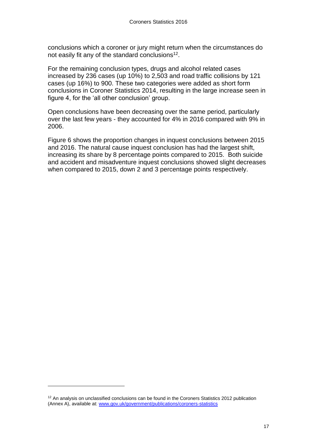conclusions which a coroner or jury might return when the circumstances do not easily fit any of the standard conclusions<sup>12</sup>.

For the remaining conclusion types, drugs and alcohol related cases increased by 236 cases (up 10%) to 2,503 and road traffic collisions by 121 cases (up 16%) to 900. These two categories were added as short form conclusions in Coroner Statistics 2014, resulting in the large increase seen in figure 4, for the 'all other conclusion' group.

Open conclusions have been decreasing over the same period, particularly over the last few years - they accounted for 4% in 2016 compared with 9% in 2006.

Figure 6 shows the proportion changes in inquest conclusions between 2015 and 2016. The natural cause inquest conclusion has had the largest shift, increasing its share by 8 percentage points compared to 2015. Both suicide and accident and misadventure inquest conclusions showed slight decreases when compared to 2015, down 2 and 3 percentage points respectively.

l

<sup>&</sup>lt;sup>12</sup> An analysis on unclassified conclusions can be found in the Coroners Statistics 2012 publication (Annex A), available at: [www.gov.uk/government/publications/coroners-statistics](http://www.gov.uk/government/publications/coroners-statistics)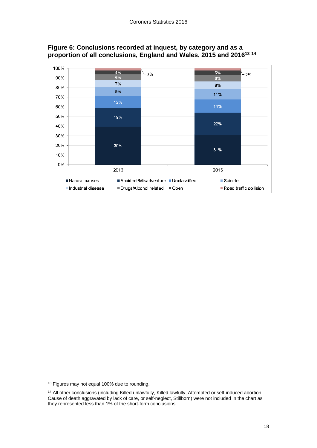

### **Figure 6: Conclusions recorded at inquest, by category and as a proportion of all conclusions, England and Wales, 2015 and 2016 13 14**

l

<sup>&</sup>lt;sup>13</sup> Figures may not equal 100% due to rounding.

<sup>14</sup> All other conclusions (including Killed unlawfully, Killed lawfully, Attempted or self-induced abortion, Cause of death aggravated by lack of care, or self-neglect, Stillborn) were not included in the chart as they represented less than 1% of the short-form conclusions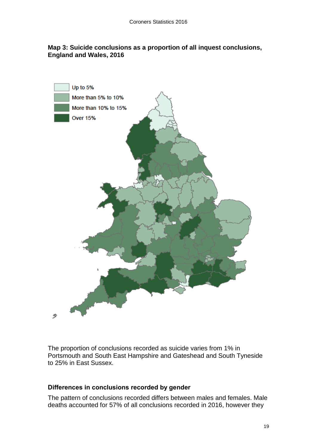#### **Map 3: Suicide conclusions as a proportion of all inquest conclusions, England and Wales, 2016**



The proportion of conclusions recorded as suicide varies from 1% in Portsmouth and South East Hampshire and Gateshead and South Tyneside to 25% in East Sussex.

#### **Differences in conclusions recorded by gender**

The pattern of conclusions recorded differs between males and females. Male deaths accounted for 57% of all conclusions recorded in 2016, however they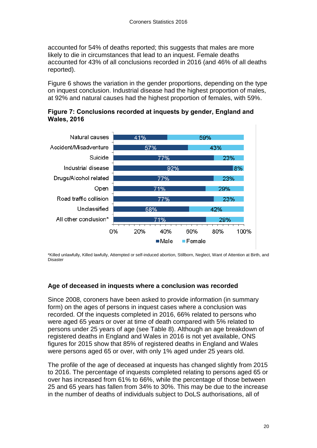accounted for 54% of deaths reported; this suggests that males are more likely to die in circumstances that lead to an inquest. Female deaths accounted for 43% of all conclusions recorded in 2016 (and 46% of all deaths reported).

Figure 6 shows the variation in the gender proportions, depending on the type on inquest conclusion. Industrial disease had the highest proportion of males, at 92% and natural causes had the highest proportion of females, with 59%.





\*Killed unlawfully, Killed lawfully, Attempted or self-induced abortion, Stillborn, Neglect, Want of Attention at Birth, and Disaster

### **Age of deceased in inquests where a conclusion was recorded**

Since 2008, coroners have been asked to provide information (in summary form) on the ages of persons in inquest cases where a conclusion was recorded. Of the inquests completed in 2016, 66% related to persons who were aged 65 years or over at time of death compared with 5% related to persons under 25 years of age (see Table 8). Although an age breakdown of registered deaths in England and Wales in 2016 is not yet available, ONS figures for 2015 show that 85% of registered deaths in England and Wales were persons aged 65 or over, with only 1% aged under 25 years old.

The profile of the age of deceased at inquests has changed slightly from 2015 to 2016. The percentage of inquests completed relating to persons aged 65 or over has increased from 61% to 66%, while the percentage of those between 25 and 65 years has fallen from 34% to 30%. This may be due to the increase in the number of deaths of individuals subject to DoLS authorisations, all of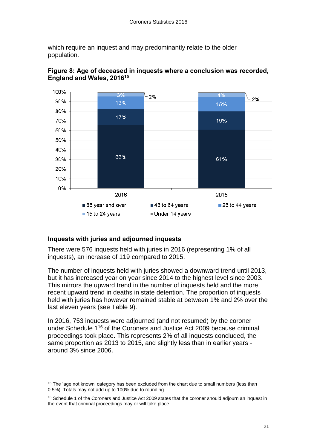which require an inquest and may predominantly relate to the older population.



### **Figure 8: Age of deceased in inquests where a conclusion was recorded, England and Wales, 2016 15**

### **Inquests with juries and adjourned inquests**

l

There were 576 inquests held with juries in 2016 (representing 1% of all inquests), an increase of 119 compared to 2015.

The number of inquests held with juries showed a downward trend until 2013, but it has increased year on year since 2014 to the highest level since 2003. This mirrors the upward trend in the number of inquests held and the more recent upward trend in deaths in state detention. The proportion of inquests held with juries has however remained stable at between 1% and 2% over the last eleven years (see Table 9).

In 2016, 753 inquests were adjourned (and not resumed) by the coroner under Schedule 1<sup>16</sup> of the Coroners and Justice Act 2009 because criminal proceedings took place. This represents 2% of all inquests concluded, the same proportion as 2013 to 2015, and slightly less than in earlier years around 3% since 2006.

<sup>&</sup>lt;sup>15</sup> The 'age not known' category has been excluded from the chart due to small numbers (less than 0.5%). Totals may not add up to 100% due to rounding.

<sup>&</sup>lt;sup>16</sup> Schedule 1 of the Coroners and Justice Act 2009 states that the coroner should adjourn an inquest in the event that criminal proceedings may or will take place.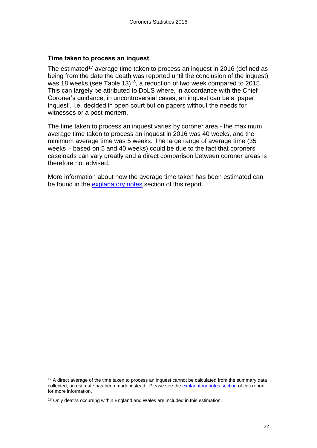#### **Time taken to process an inquest**

The estimated<sup>17</sup> average time taken to process an inquest in 2016 (defined as being from the date the death was reported until the conclusion of the inquest) was 18 weeks (see Table 13)<sup>18</sup>, a reduction of two week compared to 2015. This can largely be attributed to DoLS where, in accordance with the Chief Coroner's guidance, in uncontroversial cases, an inquest can be a 'paper inquest', i.e. decided in open court but on papers without the needs for witnesses or a post-mortem.

The time taken to process an inquest varies by coroner area - the maximum average time taken to process an inquest in 2016 was 40 weeks, and the minimum average time was 5 weeks. The large range of average time (35 weeks – based on 5 and 40 weeks) could be due to the fact that coroners' caseloads can vary greatly and a direct comparison between coroner areas is therefore not advised.

More information about how the average time taken has been estimated can be found in the [explanatory notes](#page-30-0) section of this report.

l

<sup>&</sup>lt;sup>17</sup> A direct average of the time taken to process an inquest cannot be calculated from the summary data collected; an estimate has been made instead. Please see th[e explanatory](#page-30-0) notes section of this report for more information.

<sup>&</sup>lt;sup>18</sup> Only deaths occurring within England and Wales are included in this estimation.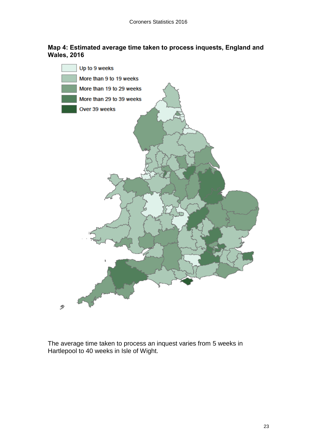#### **Map 4: Estimated average time taken to process inquests, England and Wales, 2016**



<span id="page-22-0"></span>The average time taken to process an inquest varies from 5 weeks in Hartlepool to 40 weeks in Isle of Wight.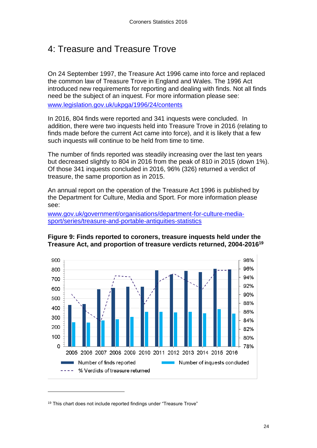# 4: Treasure and Treasure Trove

On 24 September 1997, the Treasure Act 1996 came into force and replaced the common law of Treasure Trove in England and Wales. The 1996 Act introduced new requirements for reporting and dealing with finds. Not all finds need be the subject of an inquest. For more information please see: [www.legislation.gov.uk/ukpga/1996/24/contents](http://www.legislation.gov.uk/ukpga/1996/24/contents)

In 2016, 804 finds were reported and 341 inquests were concluded. In addition, there were two inquests held into Treasure Trove in 2016 (relating to finds made before the current Act came into force), and it is likely that a few such inquests will continue to be held from time to time.

The number of finds reported was steadily increasing over the last ten years but decreased slightly to 804 in 2016 from the peak of 810 in 2015 (down 1%). Of those 341 inquests concluded in 2016, 96% (326) returned a verdict of treasure, the same proportion as in 2015.

An annual report on the operation of the Treasure Act 1996 is published by the Department for Culture, Media and Sport. For more information please see:





### **Figure 9: Finds reported to coroners, treasure inquests held under the Treasure Act, and proportion of treasure verdicts returned, 2004-2016 19**

l

<sup>19</sup> This chart does not include reported findings under "Treasure Trove"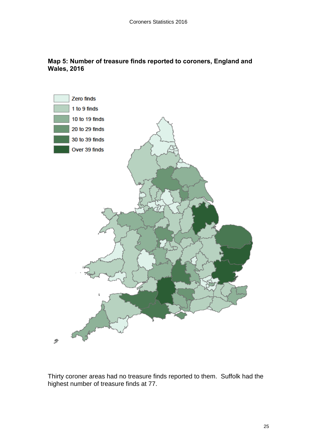



<span id="page-24-0"></span>Thirty coroner areas had no treasure finds reported to them. Suffolk had the highest number of treasure finds at 77.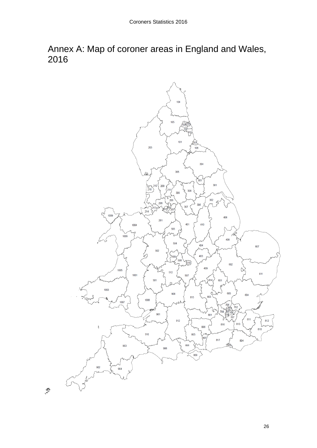Annex A: Map of coroner areas in England and Wales, 2016

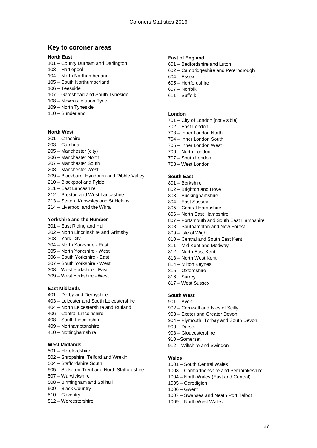#### **Key to coroner areas**

#### **North East**

- 101 County Durham and Darlington
- 103 Hartlepool
- 104 North Northumberland
- 105 South Northumberland
- 106 Teesside
- 107 Gateshead and South Tyneside
- 108 Newcastle upon Tyne
- 109 North Tyneside
- 110 Sunderland

#### **North West**

- 201 Cheshire
- 203 Cumbria
- 205 Manchester (city)
- 206 Manchester North
- 207 Manchester South
- 208 Manchester West
- 209 Blackburn, Hyndburn and Ribble Valley
- 210 Blackpool and Fylde
- 211 East Lancashire
- 212 Preston and West Lancashire
- 213 Sefton, Knowsley and St Helens
- 214 Liverpool and the Wirral

#### **Yorkshire and the Humber**

- 301 East Riding and Hull
- 302 North Lincolnshire and Grimsby
- 303 York City
- 304 North Yorkshire East
- 305 North Yorkshire West
- 306 South Yorkshire East
- 307 South Yorkshire West
- 308 West Yorkshire East
- 309 West Yorkshire West

#### **East Midlands**

- 401 Derby and Derbyshire
- 403 Leicester and South Leicestershire
- 404 North Leicestershire and Rutland
- 406 Central Lincolnshire
- 408 South Lincolnshire
- 409 Northamptonshire
- 410 Nottinghamshire

#### **West Midlands**

- 501 Herefordshire
- 502 Shropshire, Telford and Wrekin
- 504 Staffordshire South
- 505 Stoke-on-Trent and North Staffordshire
- 507 Warwickshire
- 508 Birmingham and Solihull
- 509 Black Country
- 510 Coventry
- 512 Worcestershire

#### **East of England**

- 601 Bedfordshire and Luton
- 602 Cambridgeshire and Peterborough
- 604 Essex
- 605 Hertfordshire
- 607 Norfolk
- 611 Suffolk

#### **London**

- 701 City of London [not visible]
- 702 East London
- 703 Inner London North
- 704 Inner London South
- 705 Inner London West
- 706 North London
- 707 South London
- 708 West London

#### **South East**

- 801 Berkshire
- 802 Brighton and Hove
- 803 Buckinghamshire
- 804 East Sussex
- 805 Central Hampshire
- 806 North East Hampshire
- 807 Portsmouth and South East Hampshire
- 808 Southampton and New Forest
- 809 Isle of Wight
- 810 Central and South East Kent
- 811 Mid Kent and Medway
- 812 North East Kent
- 813 North West Kent
- 814 Milton Keynes
- 815 Oxfordshire
- 816 Surrey
- 817 West Sussex

#### **South West**

- 901 Avon
- 902 Cornwall and Isles of Scilly
- 903 Exeter and Greater Devon
- 904 Plymouth, Torbay and South Devon
- 906 Dorset
- 908 Gloucestershire
- 910 –Somerset

1006 – Gwent

912 – Wiltshire and Swindon

#### **Wales**

1001 – South Central Wales

1009 – North West Wales

1003 – Carmarthenshire and Pembrokeshire

27

1004 – North Wales (East and Central) 1005 – Ceredigion

1007 – Swansea and Neath Port Talbot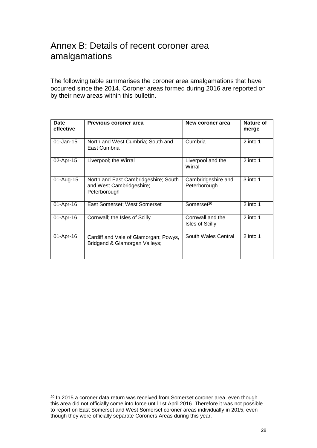# <span id="page-27-0"></span>Annex B: Details of recent coroner area amalgamations

The following table summarises the coroner area amalgamations that have occurred since the 2014. Coroner areas formed during 2016 are reported on by their new areas within this bulletin.

| <b>Date</b><br>effective | Previous coroner area                                                            | New coroner area                           | Nature of<br>merge |
|--------------------------|----------------------------------------------------------------------------------|--------------------------------------------|--------------------|
| $01$ -Jan-15             | North and West Cumbria; South and<br>East Cumbria                                | Cumbria                                    | $2$ into 1         |
| 02-Apr-15                | Liverpool; the Wirral                                                            | Liverpool and the<br>Wirral                | 2 into 1           |
| 01-Aug-15                | North and East Cambridgeshire; South<br>and West Cambridgeshire;<br>Peterborough | Cambridgeshire and<br>Peterborough         | 3 into 1           |
| 01-Apr-16                | East Somerset; West Somerset                                                     | Somerset <sup>20</sup>                     | $2$ into 1         |
| 01-Apr-16                | Cornwall; the Isles of Scilly                                                    | Cornwall and the<br><b>Isles of Scilly</b> | $2$ into 1         |
| 01-Apr-16                | Cardiff and Vale of Glamorgan; Powys,<br>Bridgend & Glamorgan Valleys;           | South Wales Central                        | 2 into 1           |

<sup>&</sup>lt;sup>20</sup> In 2015 a coroner data return was received from Somerset coroner area, even though this area did not officially come into force until 1st April 2016. Therefore it was not possible to report on East Somerset and West Somerset coroner areas individually in 2015, even though they were officially separate Coroners Areas during this year.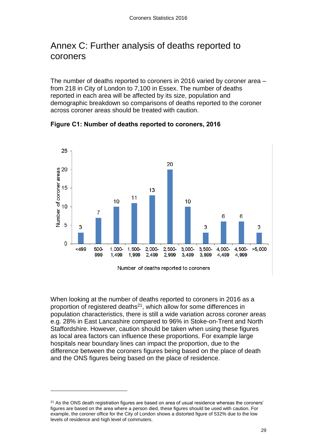# <span id="page-28-0"></span>Annex C: Further analysis of deaths reported to coroners

The number of deaths reported to coroners in 2016 varied by coroner area – from 218 in City of London to 7,100 in Essex. The number of deaths reported in each area will be affected by its size, population and demographic breakdown so comparisons of deaths reported to the coroner across coroner areas should be treated with caution.



**Figure C1: Number of deaths reported to coroners, 2016**

Number of deaths reported to coroners

When looking at the number of deaths reported to coroners in 2016 as a proportion of registered deaths $21$ , which allow for some differences in population characteristics, there is still a wide variation across coroner areas e.g. 28% in East Lancashire compared to 96% in Stoke-on-Trent and North Staffordshire. However, caution should be taken when using these figures as local area factors can influence these proportions. For example large hospitals near boundary lines can impact the proportion, due to the difference between the coroners figures being based on the place of death and the ONS figures being based on the place of residence.

 $21$  As the ONS death registration figures are based on area of usual residence whereas the coroners' figures are based on the area where a person died, these figures should be used with caution. For example, the coroner office for the City of London shows a distorted figure of 532% due to the low levels of residence and high level of commuters.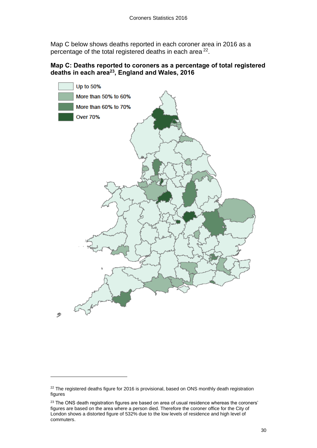Map C below shows deaths reported in each coroner area in 2016 as a percentage of the total registered deaths in each area  $22$ .

### **Map C: Deaths reported to coroners as a percentage of total registered deaths in each area<sup>23</sup>, England and Wales, 2016**



<sup>&</sup>lt;sup>22</sup> The registered deaths figure for 2016 is provisional, based on ONS monthly death registration figures

<sup>&</sup>lt;sup>23</sup> The ONS death registration figures are based on area of usual residence whereas the coroners' figures are based on the area where a person died. Therefore the coroner office for the City of London shows a distorted figure of 532% due to the low levels of residence and high level of commuters.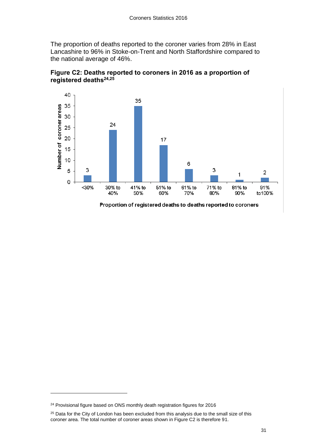The proportion of deaths reported to the coroner varies from 28% in East Lancashire to 96% in Stoke-on-Trent and North Staffordshire compared to the national average of 46%.





<span id="page-30-0"></span>Proportion of registered deaths to deaths reported to coroners

<sup>&</sup>lt;sup>24</sup> Provisional figure based on ONS monthly death registration figures for 2016

<sup>&</sup>lt;sup>25</sup> Data for the City of London has been excluded from this analysis due to the small size of this coroner area. The total number of coroner areas shown in Figure C2 is therefore 91.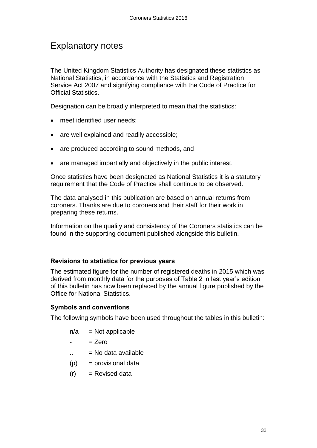# Explanatory notes

The United Kingdom Statistics Authority has designated these statistics as National Statistics, in accordance with the Statistics and Registration Service Act 2007 and signifying compliance with the Code of Practice for Official Statistics.

Designation can be broadly interpreted to mean that the statistics:

- meet identified user needs:
- are well explained and readily accessible;
- are produced according to sound methods, and
- are managed impartially and objectively in the public interest.

Once statistics have been designated as National Statistics it is a statutory requirement that the Code of Practice shall continue to be observed.

The data analysed in this publication are based on annual returns from coroners. Thanks are due to coroners and their staff for their work in preparing these returns.

Information on the quality and consistency of the Coroners statistics can be found in the supporting document published alongside this bulletin.

### **Revisions to statistics for previous years**

The estimated figure for the number of registered deaths in 2015 which was derived from monthly data for the purposes of Table 2 in last year's edition of this bulletin has now been replaced by the annual figure published by the Office for National Statistics.

### **Symbols and conventions**

The following symbols have been used throughout the tables in this bulletin:

- $n/a$  = Not applicable
- $=$   $7$ ero
- $\ldots$  = No data available
- $(p)$  = provisional data
- <span id="page-31-0"></span> $(r)$  = Revised data